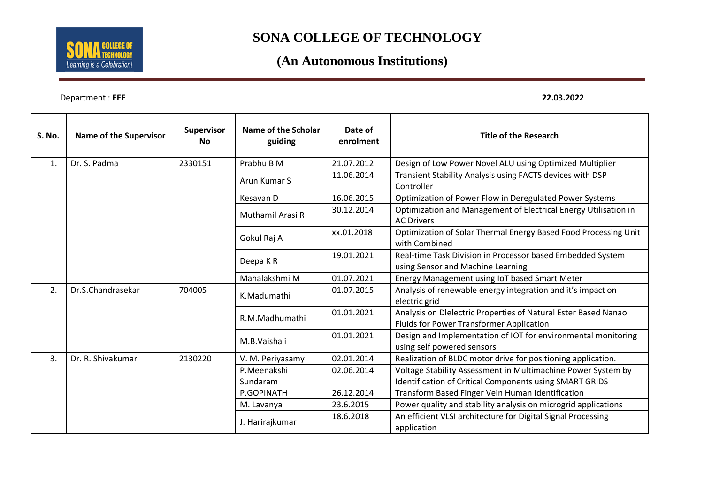

### **(An Autonomous Institutions)**

Department : **EEE 22.03.2022**

| S. No.         | <b>Name of the Supervisor</b> | Supervisor<br><b>No</b> | Name of the Scholar<br>guiding | Date of<br>enrolment | <b>Title of the Research</b>                                                                               |
|----------------|-------------------------------|-------------------------|--------------------------------|----------------------|------------------------------------------------------------------------------------------------------------|
| 1.             | Dr. S. Padma                  | 2330151                 | Prabhu B M                     | 21.07.2012           | Design of Low Power Novel ALU using Optimized Multiplier                                                   |
|                |                               |                         | Arun Kumar S                   | 11.06.2014           | Transient Stability Analysis using FACTS devices with DSP<br>Controller                                    |
|                |                               |                         | Kesavan D                      | 16.06.2015           | Optimization of Power Flow in Deregulated Power Systems                                                    |
|                |                               |                         | Muthamil Arasi R               | 30.12.2014           | Optimization and Management of Electrical Energy Utilisation in<br><b>AC Drivers</b>                       |
|                |                               |                         | Gokul Raj A                    | xx.01.2018           | Optimization of Solar Thermal Energy Based Food Processing Unit<br>with Combined                           |
|                |                               |                         | Deepa KR                       | 19.01.2021           | Real-time Task Division in Processor based Embedded System<br>using Sensor and Machine Learning            |
|                |                               |                         | Mahalakshmi M                  | 01.07.2021           | Energy Management using IoT based Smart Meter                                                              |
| 2.             | Dr.S.Chandrasekar             | 704005                  | K.Madumathi                    | 01.07.2015           | Analysis of renewable energy integration and it's impact on<br>electric grid                               |
|                |                               |                         | R.M.Madhumathi                 | 01.01.2021           | Analysis on Dlelectric Properties of Natural Ester Based Nanao<br>Fluids for Power Transformer Application |
|                |                               |                         | M.B. Vaishali                  | 01.01.2021           | Design and Implementation of IOT for environmental monitoring<br>using self powered sensors                |
| 3 <sub>1</sub> | Dr. R. Shivakumar             | 2130220                 | V. M. Periyasamy               | 02.01.2014           | Realization of BLDC motor drive for positioning application.                                               |
|                |                               |                         | P.Meenakshi                    | 02.06.2014           | Voltage Stability Assessment in Multimachine Power System by                                               |
|                |                               |                         | Sundaram                       |                      | Identification of Critical Components using SMART GRIDS                                                    |
|                |                               |                         | P.GOPINATH                     | 26.12.2014           | Transform Based Finger Vein Human Identification                                                           |
|                |                               |                         | M. Lavanya                     | 23.6.2015            | Power quality and stability analysis on microgrid applications                                             |
|                |                               |                         | J. Harirajkumar                | 18.6.2018            | An efficient VLSI architecture for Digital Signal Processing<br>application                                |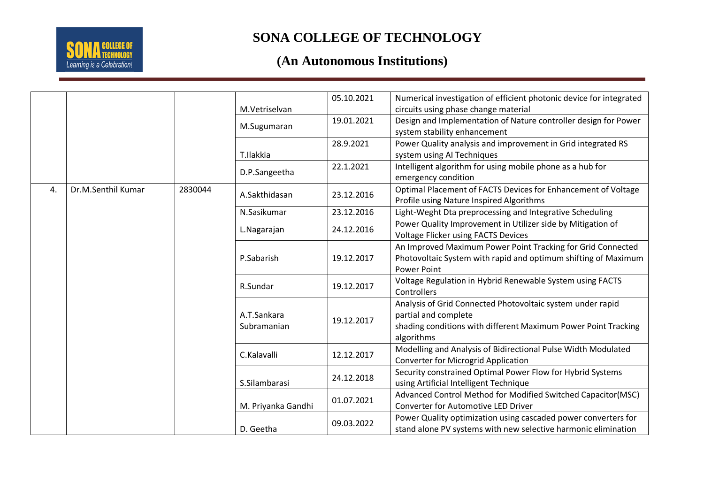

|    |                    |         |                            | 05.10.2021 | Numerical investigation of efficient photonic device for integrated |
|----|--------------------|---------|----------------------------|------------|---------------------------------------------------------------------|
|    |                    |         | M.Vetriselvan              |            | circuits using phase change material                                |
|    |                    |         | M.Sugumaran                | 19.01.2021 | Design and Implementation of Nature controller design for Power     |
|    |                    |         |                            |            | system stability enhancement                                        |
|    |                    |         |                            | 28.9.2021  | Power Quality analysis and improvement in Grid integrated RS        |
|    |                    |         | T.Ilakkia                  |            | system using AI Techniques                                          |
|    |                    |         | D.P.Sangeetha              | 22.1.2021  | Intelligent algorithm for using mobile phone as a hub for           |
|    |                    |         |                            |            | emergency condition                                                 |
| 4. | Dr.M.Senthil Kumar | 2830044 | A.Sakthidasan              | 23.12.2016 | Optimal Placement of FACTS Devices for Enhancement of Voltage       |
|    |                    |         |                            |            | Profile using Nature Inspired Algorithms                            |
|    |                    |         | N.Sasikumar                | 23.12.2016 | Light-Weght Dta preprocessing and Integrative Scheduling            |
|    |                    |         |                            | 24.12.2016 | Power Quality Improvement in Utilizer side by Mitigation of         |
|    |                    |         | L.Nagarajan                |            | <b>Voltage Flicker using FACTS Devices</b>                          |
|    |                    |         |                            |            | An Improved Maximum Power Point Tracking for Grid Connected         |
|    |                    |         | P.Sabarish                 | 19.12.2017 | Photovoltaic System with rapid and optimum shifting of Maximum      |
|    |                    |         |                            |            | <b>Power Point</b>                                                  |
|    |                    |         | R.Sundar                   | 19.12.2017 | Voltage Regulation in Hybrid Renewable System using FACTS           |
|    |                    |         |                            |            | Controllers                                                         |
|    |                    |         |                            |            | Analysis of Grid Connected Photovoltaic system under rapid          |
|    |                    |         | A.T.Sankara<br>Subramanian | 19.12.2017 | partial and complete                                                |
|    |                    |         |                            |            | shading conditions with different Maximum Power Point Tracking      |
|    |                    |         |                            |            | algorithms                                                          |
|    |                    |         | C.Kalavalli                | 12.12.2017 | Modelling and Analysis of Bidirectional Pulse Width Modulated       |
|    |                    |         |                            |            | <b>Converter for Microgrid Application</b>                          |
|    |                    |         |                            | 24.12.2018 | Security constrained Optimal Power Flow for Hybrid Systems          |
|    |                    |         | S.Silambarasi              |            | using Artificial Intelligent Technique                              |
|    |                    |         |                            | 01.07.2021 | Advanced Control Method for Modified Switched Capacitor(MSC)        |
|    |                    |         | M. Priyanka Gandhi         |            | <b>Converter for Automotive LED Driver</b>                          |
|    |                    |         |                            | 09.03.2022 | Power Quality optimization using cascaded power converters for      |
|    |                    |         | D. Geetha                  |            | stand alone PV systems with new selective harmonic elimination      |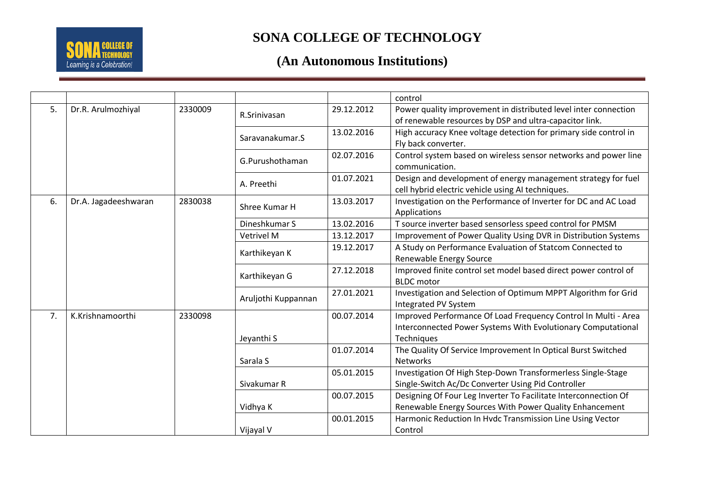

|    |                      |         |                     |            | control                                                          |
|----|----------------------|---------|---------------------|------------|------------------------------------------------------------------|
| 5. | Dr.R. Arulmozhiyal   | 2330009 | R.Srinivasan        | 29.12.2012 | Power quality improvement in distributed level inter connection  |
|    |                      |         |                     |            | of renewable resources by DSP and ultra-capacitor link.          |
|    |                      |         | Saravanakumar.S     | 13.02.2016 | High accuracy Knee voltage detection for primary side control in |
|    |                      |         |                     |            | Fly back converter.                                              |
|    |                      |         | G.Purushothaman     | 02.07.2016 | Control system based on wireless sensor networks and power line  |
|    |                      |         |                     |            | communication.                                                   |
|    |                      |         | A. Preethi          | 01.07.2021 | Design and development of energy management strategy for fuel    |
|    |                      |         |                     |            | cell hybrid electric vehicle using AI techniques.                |
| 6. | Dr.A. Jagadeeshwaran | 2830038 | Shree Kumar H       | 13.03.2017 | Investigation on the Performance of Inverter for DC and AC Load  |
|    |                      |         |                     |            | Applications                                                     |
|    |                      |         | Dineshkumar S       | 13.02.2016 | T source inverter based sensorless speed control for PMSM        |
|    |                      |         | Vetrivel M          | 13.12.2017 | Improvement of Power Quality Using DVR in Distribution Systems   |
|    |                      |         | Karthikeyan K       | 19.12.2017 | A Study on Performance Evaluation of Statcom Connected to        |
|    |                      |         |                     |            | Renewable Energy Source                                          |
|    |                      |         | Karthikeyan G       | 27.12.2018 | Improved finite control set model based direct power control of  |
|    |                      |         |                     |            | <b>BLDC</b> motor                                                |
|    |                      |         | Aruljothi Kuppannan | 27.01.2021 | Investigation and Selection of Optimum MPPT Algorithm for Grid   |
|    |                      |         |                     |            | Integrated PV System                                             |
| 7. | K.Krishnamoorthi     | 2330098 |                     | 00.07.2014 | Improved Performance Of Load Frequency Control In Multi - Area   |
|    |                      |         |                     |            | Interconnected Power Systems With Evolutionary Computational     |
|    |                      |         | Jeyanthi S          |            | Techniques                                                       |
|    |                      |         |                     | 01.07.2014 | The Quality Of Service Improvement In Optical Burst Switched     |
|    |                      |         | Sarala S            |            | Networks                                                         |
|    |                      |         |                     | 05.01.2015 | Investigation Of High Step-Down Transformerless Single-Stage     |
|    |                      |         | Sivakumar R         |            | Single-Switch Ac/Dc Converter Using Pid Controller               |
|    |                      |         |                     | 00.07.2015 | Designing Of Four Leg Inverter To Facilitate Interconnection Of  |
|    |                      |         | Vidhya K            |            | Renewable Energy Sources With Power Quality Enhancement          |
|    |                      |         |                     | 00.01.2015 | Harmonic Reduction In Hvdc Transmission Line Using Vector        |
|    |                      |         | Vijayal V           |            | Control                                                          |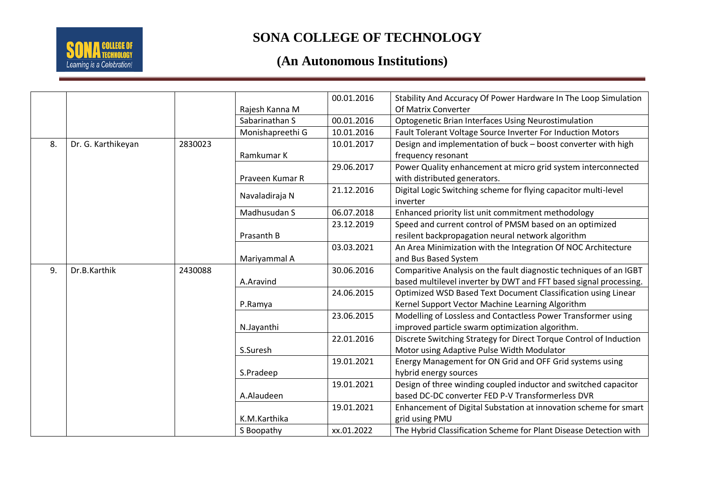

|    |                    |         |                  | 00.01.2016 | Stability And Accuracy Of Power Hardware In The Loop Simulation    |
|----|--------------------|---------|------------------|------------|--------------------------------------------------------------------|
|    |                    |         | Rajesh Kanna M   |            | Of Matrix Converter                                                |
|    |                    |         | Sabarinathan S   | 00.01.2016 | <b>Optogenetic Brian Interfaces Using Neurostimulation</b>         |
|    |                    |         | Monishapreethi G | 10.01.2016 | Fault Tolerant Voltage Source Inverter For Induction Motors        |
| 8. | Dr. G. Karthikeyan | 2830023 |                  | 10.01.2017 | Design and implementation of buck - boost converter with high      |
|    |                    |         | Ramkumar K       |            | frequency resonant                                                 |
|    |                    |         |                  | 29.06.2017 | Power Quality enhancement at micro grid system interconnected      |
|    |                    |         | Praveen Kumar R  |            | with distributed generators.                                       |
|    |                    |         |                  | 21.12.2016 | Digital Logic Switching scheme for flying capacitor multi-level    |
|    |                    |         | Navaladiraja N   |            | inverter                                                           |
|    |                    |         | Madhusudan S     | 06.07.2018 | Enhanced priority list unit commitment methodology                 |
|    |                    |         |                  | 23.12.2019 | Speed and current control of PMSM based on an optimized            |
|    |                    |         | Prasanth B       |            | resilent backpropagation neural network algorithm                  |
|    |                    |         |                  | 03.03.2021 | An Area Minimization with the Integration Of NOC Architecture      |
|    |                    |         | Mariyammal A     |            | and Bus Based System                                               |
| 9. | Dr.B.Karthik       | 2430088 |                  | 30.06.2016 | Comparitive Analysis on the fault diagnostic techniques of an IGBT |
|    |                    |         | A.Aravind        |            | based multilevel inverter by DWT and FFT based signal processing.  |
|    |                    |         |                  | 24.06.2015 | Optimized WSD Based Text Document Classification using Linear      |
|    |                    |         | P.Ramya          |            | Kernel Support Vector Machine Learning Algorithm                   |
|    |                    |         |                  | 23.06.2015 | Modelling of Lossless and Contactless Power Transformer using      |
|    |                    |         | N.Jayanthi       |            | improved particle swarm optimization algorithm.                    |
|    |                    |         |                  | 22.01.2016 | Discrete Switching Strategy for Direct Torque Control of Induction |
|    |                    |         | S.Suresh         |            | Motor using Adaptive Pulse Width Modulator                         |
|    |                    |         |                  | 19.01.2021 | Energy Management for ON Grid and OFF Grid systems using           |
|    |                    |         | S.Pradeep        |            | hybrid energy sources                                              |
|    |                    |         |                  | 19.01.2021 | Design of three winding coupled inductor and switched capacitor    |
|    |                    |         | A.Alaudeen       |            | based DC-DC converter FED P-V Transformerless DVR                  |
|    |                    |         |                  | 19.01.2021 | Enhancement of Digital Substation at innovation scheme for smart   |
|    |                    |         | K.M.Karthika     |            | grid using PMU                                                     |
|    |                    |         | S Boopathy       | xx.01.2022 | The Hybrid Classification Scheme for Plant Disease Detection with  |